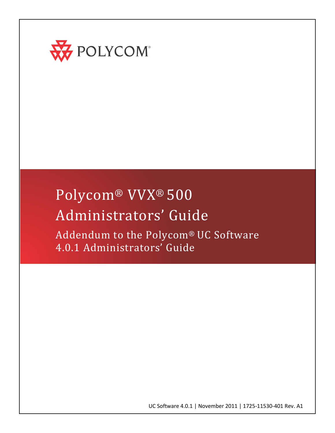

# Polycom® VVX® 500 Administrators' Guide

Addendum to the Polycom® UC Software 4.0.1 Administrators' Guide

UC Software 4.0.1 | November 2011 | 1725-11530-401 Rev. A1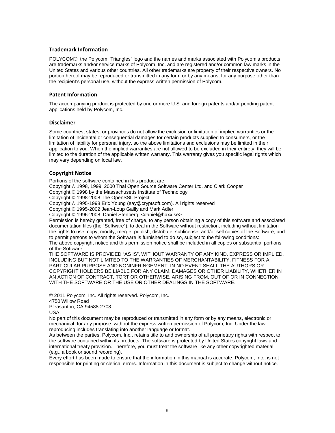#### **Trademark Information**

POLYCOM®, the Polycom "Triangles" logo and the names and marks associated with Polycom's products are trademarks and/or service marks of Polycom, Inc. and are registered and/or common law marks in the United States and various other countries. All other trademarks are property of their respective owners. No portion hereof may be reproduced or transmitted in any form or by any means, for any purpose other than the recipient's personal use, without the express written permission of Polycom.

#### **Patent Information**

The accompanying product is protected by one or more U.S. and foreign patents and/or pending patent applications held by Polycom, Inc.

#### **Disclaimer**

Some countries, states, or provinces do not allow the exclusion or limitation of implied warranties or the limitation of incidental or consequential damages for certain products supplied to consumers, or the limitation of liability for personal injury, so the above limitations and exclusions may be limited in their application to you. When the implied warranties are not allowed to be excluded in their entirety, they will be limited to the duration of the applicable written warranty. This warranty gives you specific legal rights which may vary depending on local law.

#### **Copyright Notice**

Portions of the software contained in this product are:

Copyright © 1998, 1999, 2000 Thai Open Source Software Center Ltd. and Clark Cooper

Copyright © 1998 by the Massachusetts Institute of Technology

Copyright © 1998-2008 The OpenSSL Project

Copyright © 1995-1998 Eric Young (eay@cryptsoft.com). All rights reserved

Copyright © 1995-2002 Jean-Loup Gailly and Mark Adler

Copyright © 1996-2008, Daniel Stenberg, <daniel@haxx.se>

Permission is hereby granted, free of charge, to any person obtaining a copy of this software and associated documentation files (the "Software"), to deal in the Software without restriction, including without limitation the rights to use, copy, modify, merge, publish, distribute, sublicense, and/or sell copies of the Software, and to permit persons to whom the Software is furnished to do so, subject to the following conditions:

The above copyright notice and this permission notice shall be included in all copies or substantial portions of the Software.

THE SOFTWARE IS PROVIDED "AS IS", WITHOUT WARRANTY OF ANY KIND, EXPRESS OR IMPLIED, INCLUDING BUT NOT LIMITED TO THE WARRANTIES OF MERCHANTABILITY, FITNESS FOR A PARTICULAR PURPOSE AND NONINFRINGEMENT. IN NO EVENT SHALL THE AUTHORS OR COPYRIGHT HOLDERS BE LIABLE FOR ANY CLAIM, DAMAGES OR OTHER LIABILITY, WHETHER IN AN ACTION OF CONTRACT, TORT OR OTHERWISE, ARISING FROM, OUT OF OR IN CONNECTION WITH THE SOFTWARE OR THE USE OR OTHER DEALINGS IN THE SOFTWARE.

© 2011 Polycom, Inc. All rights reserved. Polycom, Inc.

4750 Willow Road

Pleasanton, CA 94588-2708

USA

No part of this document may be reproduced or transmitted in any form or by any means, electronic or mechanical, for any purpose, without the express written permission of Polycom, Inc. Under the law, reproducing includes translating into another language or format.

As between the parties, Polycom, Inc., retains title to and ownership of all proprietary rights with respect to the software contained within its products. The software is protected by United States copyright laws and international treaty provision. Therefore, you must treat the software like any other copyrighted material (e.g., a book or sound recording).

Every effort has been made to ensure that the information in this manual is accurate. Polycom, Inc., is not responsible for printing or clerical errors. Information in this document is subject to change without notice.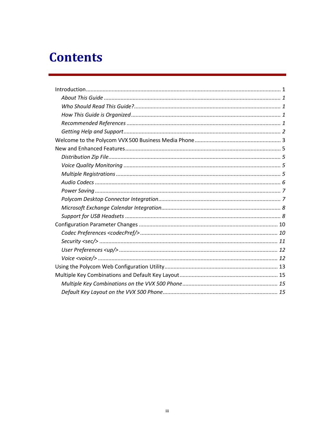## **Contents**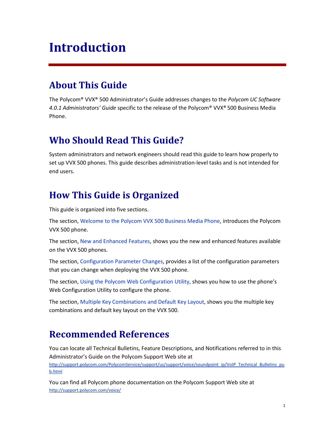## <span id="page-3-0"></span>**Introduction**

### <span id="page-3-1"></span>**About This Guide**

The Polycom® VVX® 500 Administrator's Guide addresses changes to the *Polycom UC Software 4.0.1 Administrators' Guide* specific to the release of the Polycom® VVX® 500 Business Media Phone.

### <span id="page-3-2"></span>**Who Should Read This Guide?**

System administrators and network engineers should read this guide to learn how properly to set up VVX 500 phones. This guide describes administration-level tasks and is not intended for end users.

### <span id="page-3-3"></span>**How This Guide is Organized**

This guide is organized into five sections.

The section[, Welcome to the Polycom VVX](#page-5-0) 500 Business Media Phone, introduces the Polycom VVX 500 phone.

The section, New and [Enhanced Features,](#page-7-0) shows you the new and enhanced features available on the VVX 500 phones.

The section[, Configuration Parameter Changes,](#page-12-0) provides a list of the configuration parameters that you can change when deploying the VVX 500 phone.

The section[, Using the Polycom Web Configuration Utility,](#page-15-0) shows you how to use the phone's Web Configuration Utility to configure the phone.

The section[, Multiple Key Combinations and Default Key Layout,](#page-17-0) shows you the multiple key combinations and default key layout on the VVX 500.

### <span id="page-3-4"></span>**Recommended References**

You can locate all Technical Bulletins, Feature Descriptions, and Notifications referred to in this Administrator's Guide on the Polycom Support Web site at [http://support.polycom.com/PolycomService/support/us/support/voice/soundpoint\\_ip/VoIP\\_Technical\\_Bulletins\\_pu](http://support.polycom.com/PolycomService/support/us/support/voice/soundpoint_ip/VoIP_Technical_Bulletins_pub.html) [b.html](http://support.polycom.com/PolycomService/support/us/support/voice/soundpoint_ip/VoIP_Technical_Bulletins_pub.html)

You can find all Polycom phone documentation on the Polycom Support Web site at <http://support.polycom.com/voice/>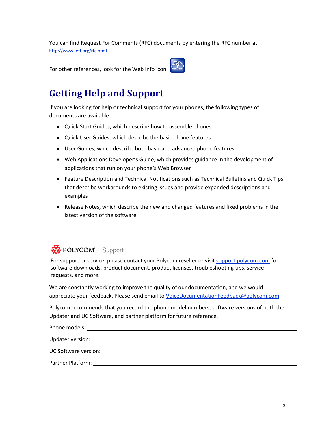You can find Request For Comments (RFC) documents by entering the RFC number at <http://www.ietf.org/rfc.html>

<span id="page-4-0"></span>For other references, look for the Web Info icon:

### **Getting Help and Support**

If you are looking for help or technical support for your phones, the following types of documents are available:

- Quick Start Guides, which describe how to assemble phones
- Quick User Guides, which describe the basic phone features
- User Guides, which describe both basic and advanced phone features
- Web Applications Developer's Guide, which provides guidance in the development of applications that run on your phone's Web Browser
- Feature Description and Technical Notifications such as Technical Bulletins and Quick Tips that describe workarounds to existing issues and provide expanded descriptions and examples
- Release Notes, which describe the new and changed features and fixed problems in the latest version of the software

### **REPOLYCOM** Support

For support or service, please contact your Polycom reseller or visit [support.polycom.com](http://support.polycom.com/) for software downloads, product document, product licenses, troubleshooting tips, service requests, and more.

We are constantly working to improve the quality of our documentation, and we would appreciate your feedback. Please send email to [VoiceDocumentationFeedback@polycom.com.](mailto:voicedocumentationfeedback@polycom.com?subject=Administrator)

Polycom recommends that you record the phone model numbers, software versions of both the Updater and UC Software, and partner platform for future reference.

Phone models: Updater version: UC Software version: Partner Platform: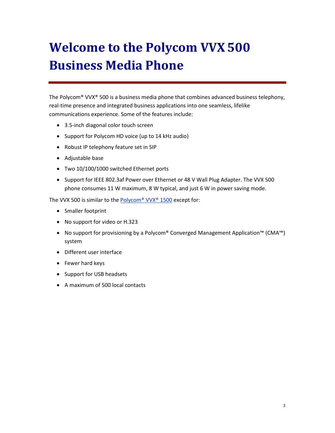# <span id="page-5-0"></span>**Welcome to the Polycom VVX500 Business Media Phone**

The Polycom<sup>®</sup> VVX<sup>®</sup> 500 is a business media phone that combines advanced business telephony, real-time presence and integrated business applications into one seamless, lifelike communications experience. Some of the features include:

- 3.5-inch diagonal color touch screen
- Support for Polycom HD voice (up to 14 kHz audio)
- Robust IP telephony feature set in SIP
- Adjustable base
- Two 10/100/1000 switched Ethernet ports
- Support for IEEE 802.3af Power over Ethernet or 48 V Wall Plug Adapter. The VVX 500 phone consumes 11 W maximum, 8 W typical, and just 6 W in power saving mode.

The VVX 500 is similar to the [Polycom® VVX® 1500](http://support.polycom.com/PolycomService/support/us/support/voice/business_media_phones/vvx1500.html) except for:

- Smaller footprint
- No support for video or H.323
- No support for provisioning by a Polycom® Converged Management Application™ (CMA™) system
- Different user interface
- Fewer hard keys
- Support for USB headsets
- A maximum of 500 local contacts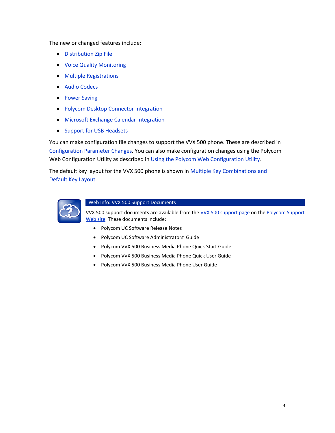The new or changed features include:

- [Distribution Zip File](#page-7-1)
- [Voice Quality Monitoring](#page-7-2)
- [Multiple Registrations](#page-7-3)
- [Audio Codecs](#page-8-0)
- [Power Saving](#page-9-0)
- [Polycom Desktop Connector Integration](#page-9-1)
- [Microsoft Exchange Calendar Integration](#page-10-0)
- [Support for USB Headsets](#page-10-1)

You can make configuration file changes to support the VVX 500 phone. These are described in [Configuration Parameter Changes.](#page-12-0) You can also make configuration changes using the Polycom Web Configuration Utility as described i[n Using the Polycom Web Configuration Utility.](#page-15-0)

The default key layout for the VVX 500 phone is shown in Multiple Key Combinations and [Default Key Layout.](#page-17-0)



#### Web Info: VVX 500 Support Documents

VVX 500 support documents are available from th[e VVX 500 support page](http://support.polycom.com/PolycomService/support/us/support/voice/business_media_phones/vvx500.html) on th[e Polycom Support](http://support.polycom.com/PolycomService/home/home.htm?isSSOCookieCreationRequired=null&prcRegistrationUrl=http%3A%2F%2Fportal.polycom.com%2FPolycomSSO%2Fregistration%2Findex.htm%3FfromSupport%3Dtrue&prcProblemsLoggingUrl=http%3A%2F%2Fwww.polycom.com%2Fsu)  [Web](http://support.polycom.com/PolycomService/home/home.htm?isSSOCookieCreationRequired=null&prcRegistrationUrl=http%3A%2F%2Fportal.polycom.com%2FPolycomSSO%2Fregistration%2Findex.htm%3FfromSupport%3Dtrue&prcProblemsLoggingUrl=http%3A%2F%2Fwww.polycom.com%2Fsu) site. These documents include:

- Polycom UC Software Release Notes
- Polycom UC Software Administrators' Guide
- Polycom VVX 500 Business Media Phone Quick Start Guide
- Polycom VVX 500 Business Media Phone Quick User Guide
- Polycom VVX 500 Business Media Phone User Guide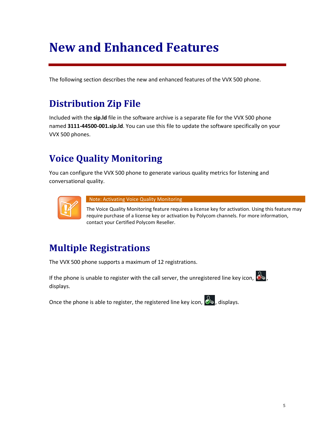## <span id="page-7-0"></span>**New and Enhanced Features**

<span id="page-7-1"></span>The following section describes the new and enhanced features of the VVX 500 phone.

### **Distribution Zip File**

Included with the **sip.ld** file in the software archive is a separate file for the VVX 500 phone named **3111-44500-001.sip.ld**. You can use this file to update the software specifically on your VVX 500 phones.

### <span id="page-7-2"></span>**Voice Quality Monitoring**

You can configure the VVX 500 phone to generate various quality metrics for listening and conversational quality.



Note: Activating Voice Quality Monitoring

The Voice Quality Monitoring feature requires a license key for activation. Using this feature may require purchase of a license key or activation by Polycom channels. For more information, contact your Certified Polycom Reseller.

### <span id="page-7-3"></span>**Multiple Registrations**

The VVX 500 phone supports a maximum of 12 registrations.

If the phone is unable to register with the call server, the unregistered line key icon,  $\mathcal{S},$ displays.

Once the phone is able to register, the registered line key icon,  $\delta$ , displays.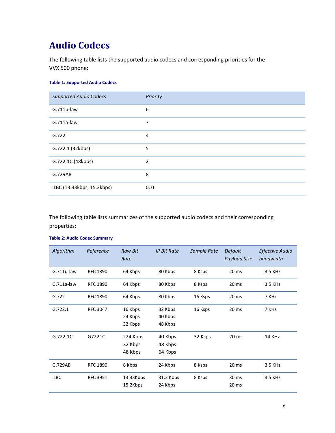### <span id="page-8-0"></span>**Audio Codecs**

The following table lists the supported audio codecs and corresponding priorities for the VVX 500 phone:

#### **Table 1: Supported Audio Codecs**

| <b>Supported Audio Codecs</b> | Priority |
|-------------------------------|----------|
| $G.711u$ -law                 | 6        |
| $G.711a$ -law                 | 7        |
| G.722                         | 4        |
| G.722.1 (32kbps)              | 5        |
| G.722.1C (48kbps)             | 2        |
| G.729AB                       | 8        |
| iLBC (13.33kbps, 15.2kbps)    | 0, 0     |

The following table lists summarizes of the supported audio codecs and their corresponding properties:

| Algorithm     | Reference       | <b>Raw Bit</b><br>Rate         | <b>IP Bit Rate</b>            | Sample Rate | Default<br><b>Payload Size</b> | <b>Effective Audio</b><br>bandwidth |
|---------------|-----------------|--------------------------------|-------------------------------|-------------|--------------------------------|-------------------------------------|
| $G.711u$ -law | <b>RFC 1890</b> | 64 Kbps                        | 80 Kbps                       | 8 Ksps      | 20 <sub>ms</sub>               | 3.5 KHz                             |
| $G.711a$ -law | <b>RFC 1890</b> | 64 Kbps                        | 80 Kbps                       | 8 Ksps      | 20 <sub>ms</sub>               | 3.5 KHz                             |
| G.722         | <b>RFC 1890</b> | 64 Kbps                        | 80 Kbps                       | 16 Ksps     | 20 <sub>ms</sub>               | 7 KHz                               |
| G.722.1       | <b>RFC 3047</b> | 16 Kbps<br>24 Kbps<br>32 Kbps  | 32 Kbps<br>40 Kbps<br>48 Kbps | 16 Ksps     | 20 <sub>ms</sub>               | 7 KHz                               |
| G.722.1C      | G7221C          | 224 Kbps<br>32 Kbps<br>48 Kbps | 40 Kbps<br>48 Kbps<br>64 Kbps | 32 Ksps     | 20 <sub>ms</sub>               | 14 KHz                              |
| G.729AB       | <b>RFC 1890</b> | 8 Kbps                         | 24 Kbps                       | 8 Ksps      | 20 <sub>ms</sub>               | 3.5 KHz                             |
| <b>iLBC</b>   | <b>RFC 3951</b> | 13.33Kbps<br>15.2Kbps          | 31.2 Kbps<br>24 Kbps          | 8 Ksps      | 30 ms<br>20 <sub>ms</sub>      | 3.5 KHz                             |

#### **Table 2: Audio Codec Summary**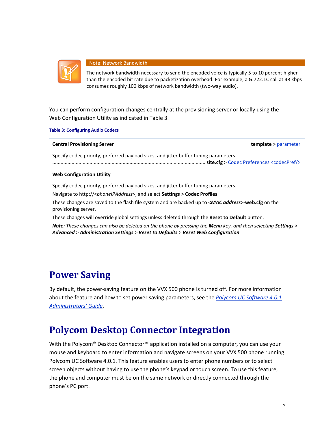

#### Note: Network Bandwidth

The network bandwidth necessary to send the encoded voice is typically 5 to 10 percent higher than the encoded bit rate due to packetization overhead. For example, a G.722.1C call at 48 kbps consumes roughly 100 kbps of network bandwidth (two-way audio).

You can perform configuration changes centrally at the provisioning server or locally using the Web Configuration Utility as indicated in Table 3.

**Table 3: Configuring Audio Codecs**

| <b>Central Provisioning Server</b> |  |
|------------------------------------|--|
|                                    |  |

**template** > parameter

Specify codec priority, preferred payload sizes, and jitter buffer tuning parameters

............................................................................................................... **site.cfg** > [Codec Preferences <codecPref/>](#page-12-1) 

#### **Web Configuration Utility**

Specify codec priority, preferred payload sizes, and jitter buffer tuning parameters.

Navigate to http://<*phoneIPAddress*>, and select **Settings** > **Codec Profiles**.

These changes are saved to the flash file system and are backed up to **<***MAC address***>-web.cfg** on the provisioning server.

These changes will override global settings unless deleted through the **Reset to Default** button.

*Note: These changes can also be deleted on the phone by pressing the Menu key, and then selecting Settings > Advanced > Administration Settings > Reset to Defaults > Reset Web Configuration*.

### <span id="page-9-0"></span>**Power Saving**

By default, the power-saving feature on the VVX 500 phone is turned off. For more information about the feature and how to set power saving parameters, see the *[Polycom UC Software 4.0.1](http://supportdocs.polycom.com/PolycomService/support/global/documents/support/setup_maintenance/products/voice/UC_Software_Admin_Guide_v4_0_1.pdf)  [Administrators' Guide](http://supportdocs.polycom.com/PolycomService/support/global/documents/support/setup_maintenance/products/voice/UC_Software_Admin_Guide_v4_0_1.pdf)*.

### <span id="page-9-1"></span>**Polycom Desktop Connector Integration**

With the Polycom® Desktop Connector<sup>™</sup> application installed on a computer, you can use your mouse and keyboard to enter information and navigate screens on your VVX 500 phone running Polycom UC Software 4.0.1. This feature enables users to enter phone numbers or to select screen objects without having to use the phone's keypad or touch screen. To use this feature, the phone and computer must be on the same network or directly connected through the phone's PC port.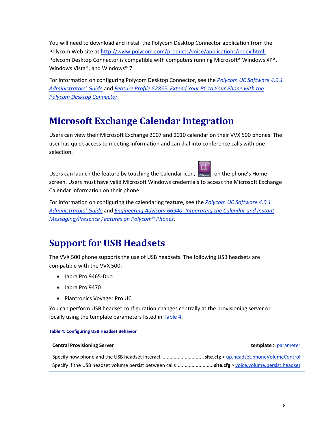You will need to download and install the Polycom Desktop Connector application from the Polycom Web site at [http://www.polycom.com/products/voice/applications/index.html.](http://www.polycom.com/products/voice/applications/index.html) Polycom Desktop Connector is compatible with computers running Microsoft<sup>®</sup> Windows XP®, Windows Vista®, and Windows® 7.

For information on configuring Polycom Desktop Connector, see the *[Polycom UC Software 4.0.1](http://supportdocs.polycom.com/PolycomService/support/global/documents/support/setup_maintenance/products/voice/UC_Software_Admin_Guide_v4_0_1.pdf)  [Administrators' Guide](http://supportdocs.polycom.com/PolycomService/support/global/documents/support/setup_maintenance/products/voice/UC_Software_Admin_Guide_v4_0_1.pdf)* and *[Feature Profile 52855: Extend Your PC to Your Phone](http://support.polycom.com/PolycomService/support/us/support/voice/soundpoint_ip/VoIP_Technical_Bulletins_pub.html) with the [Polycom Desktop Connector](http://support.polycom.com/PolycomService/support/us/support/voice/soundpoint_ip/VoIP_Technical_Bulletins_pub.html)*.

### <span id="page-10-0"></span>**Microsoft Exchange Calendar Integration**

Users can view their Microsoft Exchange 2007 and 2010 calendar on their VVX 500 phones. The user has quick access to meeting information and can dial into conference calls with one selection.

Users can launch the feature by touching the Calendar icon,  $\int_{\text{Calendar}}$ , on the phone's Home screen. Users must have valid Microsoft Windows credentials to access the Microsoft Exchange Calendar information on their phone.

For information on configuring the calendaring feature, see the *[Polycom UC Software 4.0.1](http://supportdocs.polycom.com/PolycomService/support/global/documents/support/setup_maintenance/products/voice/UC_Software_Admin_Guide_v4_0_1.pdf)  [Administrators' Guide](http://supportdocs.polycom.com/PolycomService/support/global/documents/support/setup_maintenance/products/voice/UC_Software_Admin_Guide_v4_0_1.pdf)* and *[Engineering Advisory 66940: Integrating the Calendar and Instant](http://supportdocs.polycom.com/PolycomService/support/global/documents/support/technical/products/voice/Integrating_Calendaring_IM_Presence_Features_EA66940.pdf)  [Messaging/Presence Features on Polycom® Phones](http://supportdocs.polycom.com/PolycomService/support/global/documents/support/technical/products/voice/Integrating_Calendaring_IM_Presence_Features_EA66940.pdf)*.

### <span id="page-10-1"></span>**Support for USB Headsets**

The VVX 500 phone supports the use of USB headsets. The following USB headsets are compatible with the VVX 500:

- Jabra Pro 9465-Duo
- Jabra Pro 9470
- Plantronics Voyager Pro UC

You can perform USB headset configuration changes centrally at the provisioning server or locally using the template parameters listed in [Table 4.](#page-10-2)

<span id="page-10-2"></span>

| <b>Central Provisioning Server</b>                                                                      | <b>template</b> > parameter |
|---------------------------------------------------------------------------------------------------------|-----------------------------|
| Specify how phone and the USB headset interact $\ldots$ <b>site.cfg</b> > up.headset.phoneVolumeControl |                             |
| Specify if the USB headset volume persist between callssite.cfg > voice.volume.persist.headset          |                             |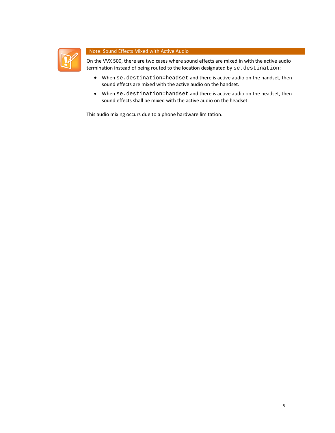

#### Note: Sound Effects Mixed with Active Audio

On the VVX 500, there are two cases where sound effects are mixed in with the active audio termination instead of being routed to the location designated by se.destination:

- When se.destination=headset and there is active audio on the handset, then sound effects are mixed with the active audio on the handset.
- When se.destination=handset and there is active audio on the headset, then sound effects shall be mixed with the active audio on the headset.

This audio mixing occurs due to a phone hardware limitation.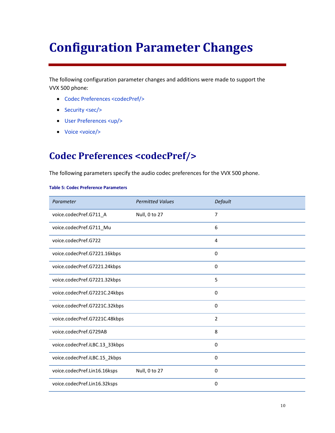## <span id="page-12-0"></span>**Configuration Parameter Changes**

The following configuration parameter changes and additions were made to support the VVX 500 phone:

- [Codec Preferences <codecPref/>](#page-12-1)
- [Security <sec/>](#page-13-0)
- [User Preferences <up/>](#page-14-0)
- <span id="page-12-1"></span>• [Voice <voice/>](#page-14-1)

### **Codec Preferences <codecPref/>**

The following parameters specify the audio codec preferences for the VVX 500 phone.

#### **Table 5: Codec Preference Parameters**

| Parameter                      | <b>Permitted Values</b> | Default        |
|--------------------------------|-------------------------|----------------|
| voice.codecPref.G711_A         | Null, 0 to 27           | 7              |
| voice.codecPref.G711_Mu        |                         | 6              |
| voice.codecPref.G722           |                         | $\overline{4}$ |
| voice.codecPref.G7221.16kbps   |                         | $\mathbf 0$    |
| voice.codecPref.G7221.24kbps   |                         | $\mathbf 0$    |
| voice.codecPref.G7221.32kbps   |                         | 5              |
| voice.codecPref.G7221C.24kbps  |                         | $\mathbf 0$    |
| voice.codecPref.G7221C.32kbps  |                         | 0              |
| voice.codecPref.G7221C.48kbps  |                         | $\overline{2}$ |
| voice.codecPref.G729AB         |                         | 8              |
| voice.codecPref.iLBC.13_33kbps |                         | 0              |
| voice.codecPref.iLBC.15_2kbps  |                         | $\mathbf 0$    |
| voice.codecPref.Lin16.16ksps   | Null, 0 to 27           | 0              |
| voice.codecPref.Lin16.32ksps   |                         | $\mathbf 0$    |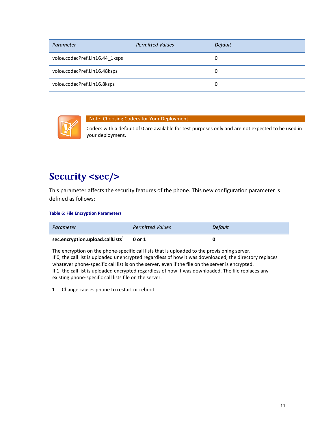| Parameter                      | <b>Permitted Values</b> | Default |
|--------------------------------|-------------------------|---------|
| voice.codecPref.Lin16.44_1ksps |                         | 0       |
| voice.codecPref.Lin16.48ksps   |                         | 0       |
| voice.codecPref.Lin16.8ksps    |                         | 0       |



#### Note: Choosing Codecs for Your Deployment

Codecs with a default of 0 are available for test purposes only and are not expected to be used in your deployment.

#### <span id="page-13-0"></span>**Security <sec/>**

This parameter affects the security features of the phone. This new configuration parameter is defined as follows:

#### **Table 6: File Encryption Parameters**

| Parameter                                  | <b>Permitted Values</b> | Default |
|--------------------------------------------|-------------------------|---------|
| sec.encryption.upload.callLists $1$ 0 or 1 |                         |         |

The encryption on the phone-specific call lists that is uploaded to the provisioning server. If 0, the call list is uploaded unencrypted regardless of how it was downloaded, the directory replaces whatever phone-specific call list is on the server, even if the file on the server is encrypted. If 1, the call list is uploaded encrypted regardless of how it was downloaded. The file replaces any existing phone-specific call lists file on the server.

1 Change causes phone to restart or reboot.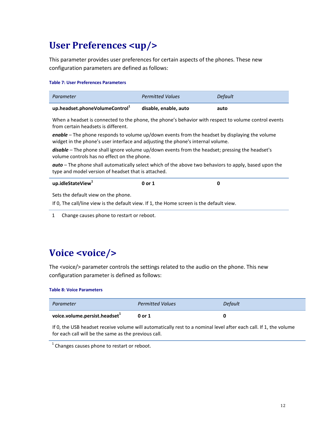### <span id="page-14-0"></span>**User Preferences <up/>**

This parameter provides user preferences for certain aspects of the phones. These new configuration parameters are defined as follows:

#### **Table 7: User Preferences Parameters**

| Parameter                                  | <b>Permitted Values</b> | Default |
|--------------------------------------------|-------------------------|---------|
| up.headset.phoneVolumeControl <sup>1</sup> | disable, enable, auto   | auto    |

When a headset is connected to the phone, the phone's behavior with respect to volume control events from certain headsets is different.

*enable* – The phone responds to volume up/down events from the headset by displaying the volume widget in the phone's user interface and adjusting the phone's internal volume.

*disable* – The phone shall ignore volume up/down events from the headset; pressing the headset's volume controls has no effect on the phone.

*auto* – The phone shall automatically select which of the above two behaviors to apply, based upon the type and model version of headset that is attached.

| up.idleStateView $1$ | 0 or 1 |  |
|----------------------|--------|--|
|                      |        |  |

Sets the default view on the phone.

If 0, The call/line view is the default view. If 1, the Home screen is the default view.

1 Change causes phone to restart or reboot.

### <span id="page-14-1"></span>**Voice <voice/>**

The <voice/> parameter controls the settings related to the audio on the phone. This new configuration parameter is defined as follows:

**Table 8: Voice Parameters**

| Parameter                         | <b>Permitted Values</b> | Default |
|-----------------------------------|-------------------------|---------|
| voice.volume.persist.headset $^1$ | 0 or 1                  |         |

If 0, the USB headset receive volume will automatically rest to a nominal level after each call. If 1, the volume for each call will be the same as the previous call.

 $1$  Changes causes phone to restart or reboot.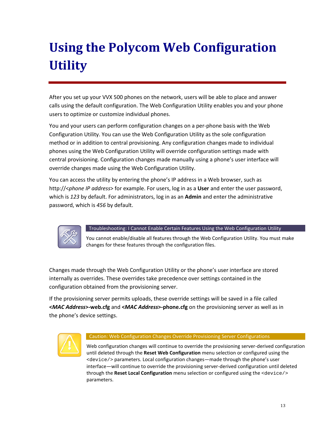# <span id="page-15-0"></span>**Using the Polycom Web Configuration Utility**

After you set up your VVX 500 phones on the network, users will be able to place and answer calls using the default configuration. The Web Configuration Utility enables you and your phone users to optimize or customize individual phones.

You and your users can perform configuration changes on a per-phone basis with the Web Configuration Utility. You can use the Web Configuration Utility as the sole configuration method or in addition to central provisioning. Any configuration changes made to individual phones using the Web Configuration Utility will override configuration settings made with central provisioning. Configuration changes made manually using a phone's user interface will override changes made using the Web Configuration Utility.

You can access the utility by entering the phone's IP address in a Web browser, such as http://<*phone IP address*> for example. For users, log in as a **User** and enter the user password, which is *123* by default. For administrators, log in as an **Admin** and enter the administrative password, which is *456* by default.



#### Troubleshooting: I Cannot Enable Certain Features Using the Web Configuration Utility

You cannot enable/disable all features through the Web Configuration Utility. You must make changes for these features through the configuration files.

Changes made through the Web Configuration Utility or the phone's user interface are stored internally as overrides. These overrides take precedence over settings contained in the configuration obtained from the provisioning server.

If the provisioning server permits uploads, these override settings will be saved in a file called **<***MAC Address***>-web.cfg** and **<***MAC Address***>-phone.cfg** on the provisioning server as well as in the phone's device settings.



#### Caution: Web Configuration Changes Override Provisioning Server Configurations

Web configuration changes will continue to override the provisioning server-derived configuration until deleted through the **Reset Web Configuration** menu selection or configured using the <device/> parameters. Local configuration changes—made through the phone's user interface—will continue to override the provisioning server-derived configuration until deleted through the **Reset Local Configuration** menu selection or configured using the <device/> parameters.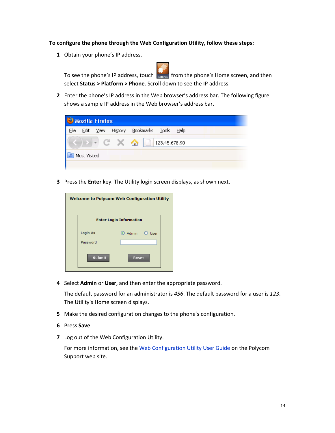#### **To configure the phone through the Web Configuration Utility, follow these steps:**

**1** Obtain your phone's IP address.

To see the phone's IP address, touch settings from the phone's Home screen, and then select **Status > Platform > Phone**. Scroll down to see the IP address.

**2** Enter the phone's IP address in the Web browser's address bar. The following figure shows a sample IP address in the Web browser's address bar.

| <sup>3</sup> Mozilla Firefox |              |      |         |                                   |  |  |  |  |  |  |
|------------------------------|--------------|------|---------|-----------------------------------|--|--|--|--|--|--|
| File                         | Edit         | View | History | Bookmarks <u>T</u> ools<br>– Help |  |  |  |  |  |  |
|                              |              |      |         | ⋒<br>123.45.678.90                |  |  |  |  |  |  |
|                              | Most Visited |      |         |                                   |  |  |  |  |  |  |
|                              |              |      |         |                                   |  |  |  |  |  |  |

**3** Press the **Enter** key. The Utility login screen displays, as shown next.

| <b>Welcome to Polycom Web Configuration Utility</b> |                            |  |
|-----------------------------------------------------|----------------------------|--|
| <b>Enter Login Information</b>                      |                            |  |
| Login As                                            | $\odot$ Admin $\odot$ User |  |
| Password                                            |                            |  |
| <b>Submit</b>                                       | Reset                      |  |

**4** Select **Admin** or **User**, and then enter the appropriate password.

The default password for an administrator is *456*. The default password for a user is *123*. The Utility's Home screen displays.

- **5** Make the desired configuration changes to the phone's configuration.
- **6** Press **Save**.
- **7** Log out of the Web Configuration Utility.

For more information, see the [Web Configuration Utility User Guide](http://support.polycom.com/global/documents/support/user/products/voice/UC_Web_Config_Utility_User_Guide_v4_0_0.pdf) on the Polycom Support web site.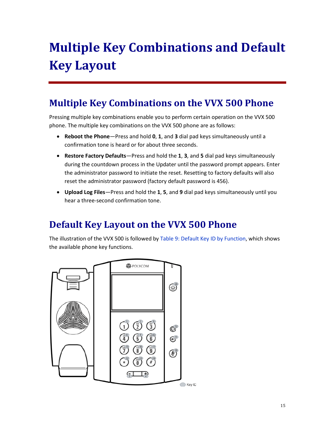# <span id="page-17-0"></span>**Multiple Key Combinations and Default Key Layout**

### <span id="page-17-1"></span>**Multiple Key Combinations on the VVX 500 Phone**

Pressing multiple key combinations enable you to perform certain operation on the VVX 500 phone. The multiple key combinations on the VVX 500 phone are as follows:

- **Reboot the Phone**—Press and hold **0**, **1**, and **3** dial pad keys simultaneously until a confirmation tone is heard or for about three seconds.
- **Restore Factory Defaults**—Press and hold the **1**, **3**, and **5** dial pad keys simultaneously during the countdown process in the Updater until the password prompt appears. Enter the administrator password to initiate the reset. Resetting to factory defaults will also reset the administrator password (factory default password is 456).
- **Upload Log Files**—Press and hold the **1**, **5**, and **9** dial pad keys simultaneously until you hear a three-second confirmation tone.

### <span id="page-17-2"></span>**Default Key Layout on the VVX 500 Phone**

The illustration of the VVX 500 is followed by [Table 9: Default Key ID by Function,](#page-18-0) which shows the available phone key functions.